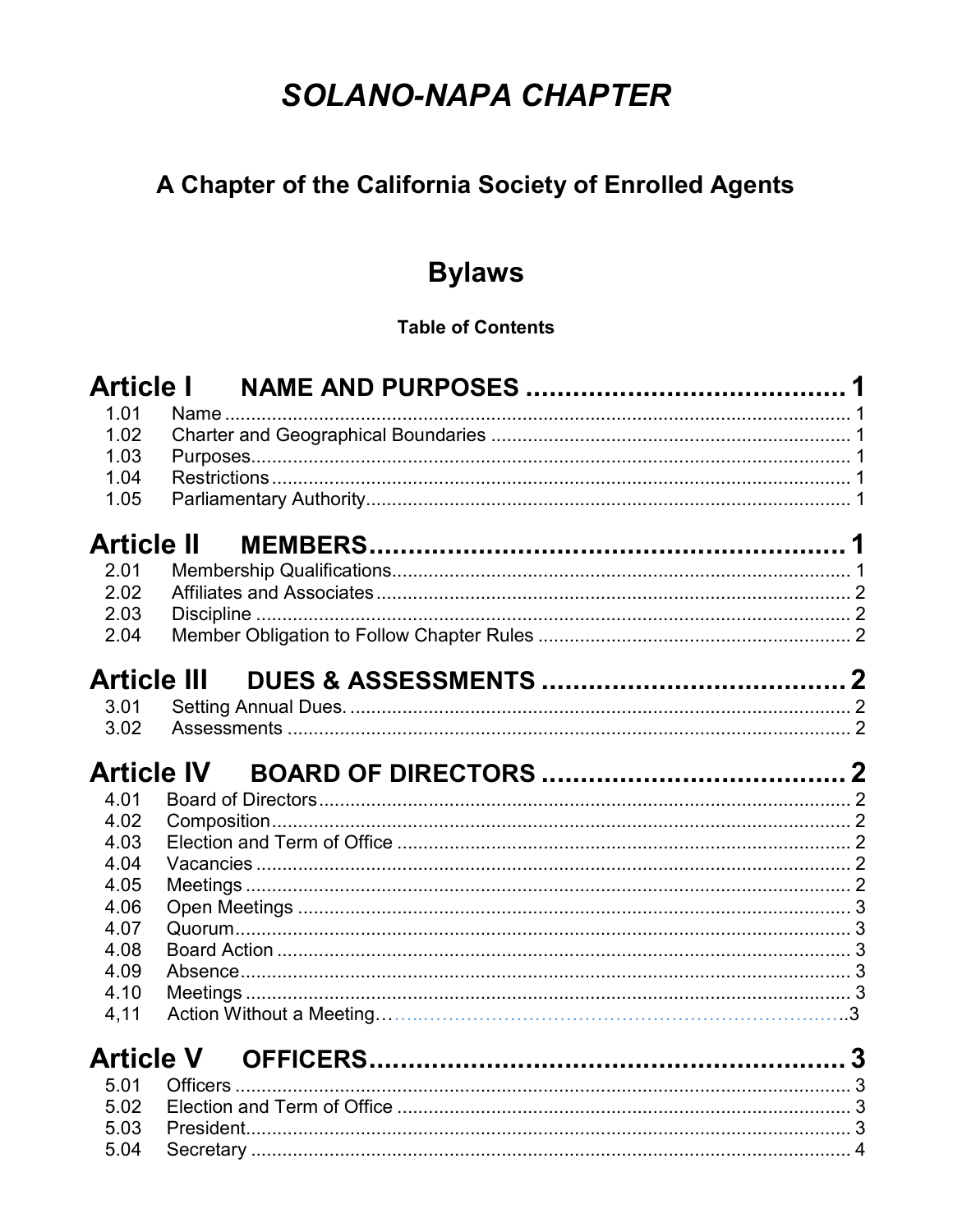# **SOLANO-NAPA CHAPTER**

# A Chapter of the California Society of Enrolled Agents

# **Bylaws**

# **Table of Contents**

| <b>Article I</b>  |                   |  |
|-------------------|-------------------|--|
| 1.01              |                   |  |
| 1.02              |                   |  |
| 1.03              |                   |  |
| 1.04              |                   |  |
| 1.05              |                   |  |
| <b>Article II</b> |                   |  |
| 2.01              |                   |  |
| 2.02              |                   |  |
| 2.03              |                   |  |
| 2.04              |                   |  |
|                   | Article III       |  |
| 3.01              |                   |  |
| 3.02              |                   |  |
|                   |                   |  |
|                   | <b>Article IV</b> |  |
| 4.01              |                   |  |
| 4.02              |                   |  |
| 4.03              |                   |  |
| 4.04              |                   |  |
| 4.05              |                   |  |
| 4.06              |                   |  |
| 4.07              |                   |  |
| 4.08              |                   |  |
| 4.09              |                   |  |
| 4.10              |                   |  |
| 4,11              |                   |  |
|                   |                   |  |
| 5.01              |                   |  |
| 5.02              |                   |  |
| 5.03              |                   |  |
| 5.04              |                   |  |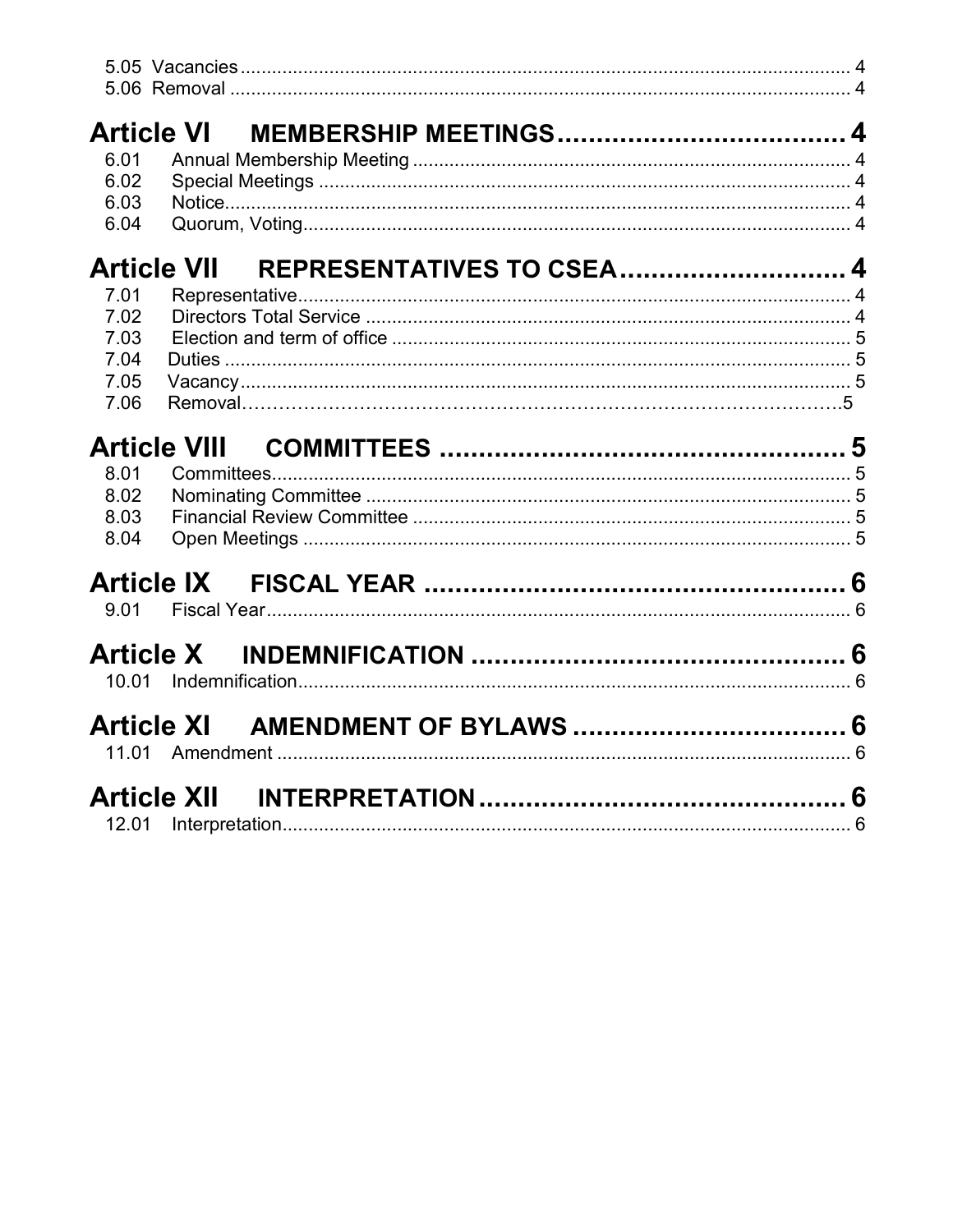|              | <b>Article VI</b>                                      |  |
|--------------|--------------------------------------------------------|--|
| 6.01         |                                                        |  |
| 6.02         |                                                        |  |
| 6.03         |                                                        |  |
| 6.04         |                                                        |  |
|              | <b>Article VII</b><br><b>REPRESENTATIVES TO CSEA 4</b> |  |
| 7.01         |                                                        |  |
| 7.02         |                                                        |  |
| 7.03         |                                                        |  |
| 7.04         |                                                        |  |
| 7.05<br>7.06 |                                                        |  |
|              |                                                        |  |
|              | <b>Article VIII</b>                                    |  |
| 8.01         |                                                        |  |
| 8.02         |                                                        |  |
| 8.03         |                                                        |  |
| 8.04         |                                                        |  |
|              |                                                        |  |
| 9.01         |                                                        |  |
|              |                                                        |  |
|              |                                                        |  |
| 10.01        |                                                        |  |
|              |                                                        |  |
| 11.01        |                                                        |  |
|              |                                                        |  |
|              | Article XII                                            |  |
| 12.01        |                                                        |  |
|              |                                                        |  |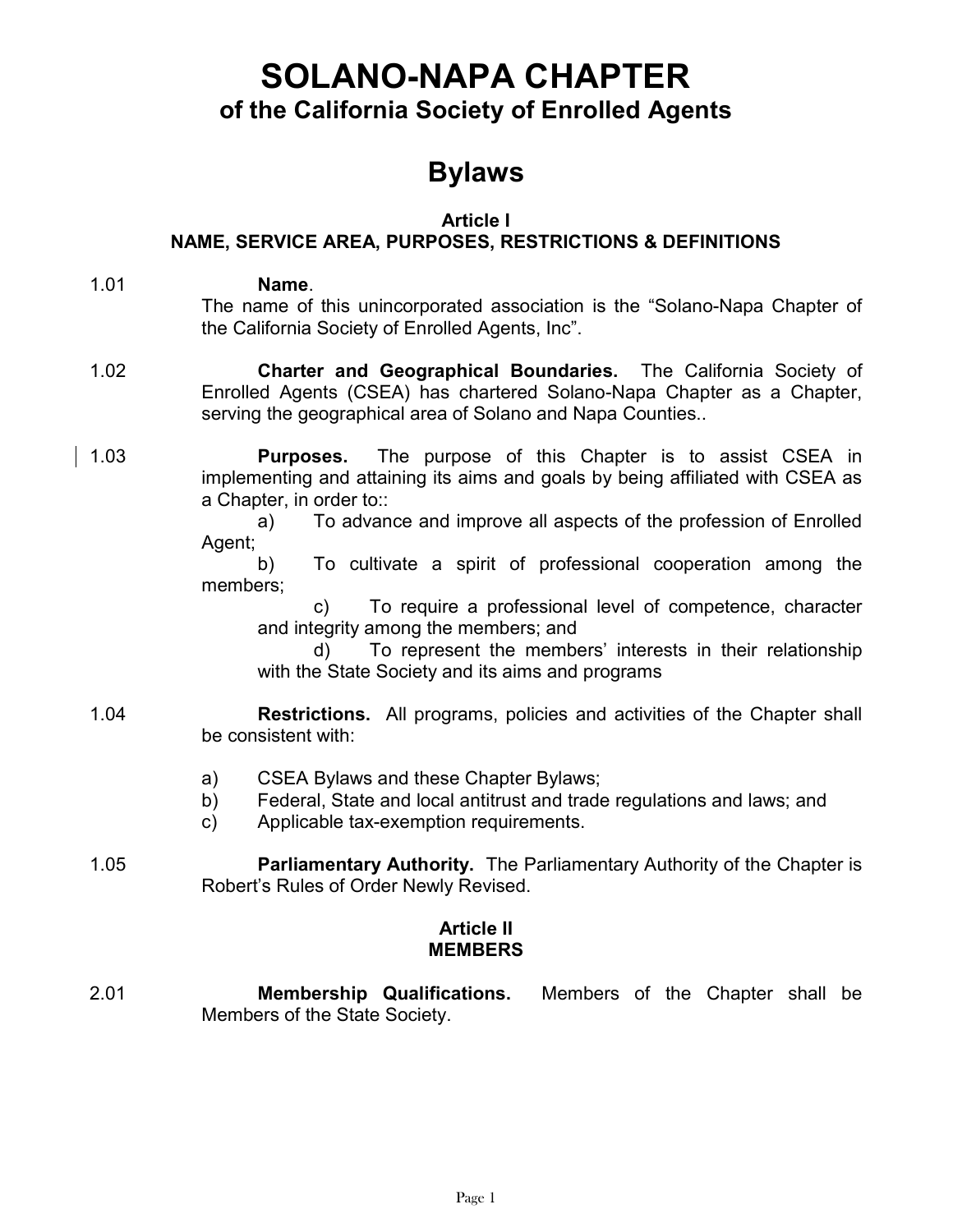# SOLANO-NAPA CHAPTER of the California Society of Enrolled Agents

# Bylaws

## Article I

# NAME, SERVICE AREA, PURPOSES, RESTRICTIONS & DEFINITIONS

- 1.01 Name. The name of this unincorporated association is the "Solano-Napa Chapter of the California Society of Enrolled Agents, Inc".
- 1.02 Charter and Geographical Boundaries. The California Society of Enrolled Agents (CSEA) has chartered Solano-Napa Chapter as a Chapter, serving the geographical area of Solano and Napa Counties..
- 1.03 **Purposes.** The purpose of this Chapter is to assist CSEA in implementing and attaining its aims and goals by being affiliated with CSEA as a Chapter, in order to::

 a) To advance and improve all aspects of the profession of Enrolled Agent;

 b) To cultivate a spirit of professional cooperation among the members;

 c) To require a professional level of competence, character and integrity among the members; and

 d) To represent the members' interests in their relationship with the State Society and its aims and programs

### 1.04 Restrictions. All programs, policies and activities of the Chapter shall be consistent with:

- a) CSEA Bylaws and these Chapter Bylaws;
- b) Federal, State and local antitrust and trade regulations and laws; and
- c) Applicable tax-exemption requirements.
- 1.05 **Parliamentary Authority.** The Parliamentary Authority of the Chapter is Robert's Rules of Order Newly Revised.

# Article II MEMBERS

2.01 Membership Qualifications. Members of the Chapter shall be Members of the State Society.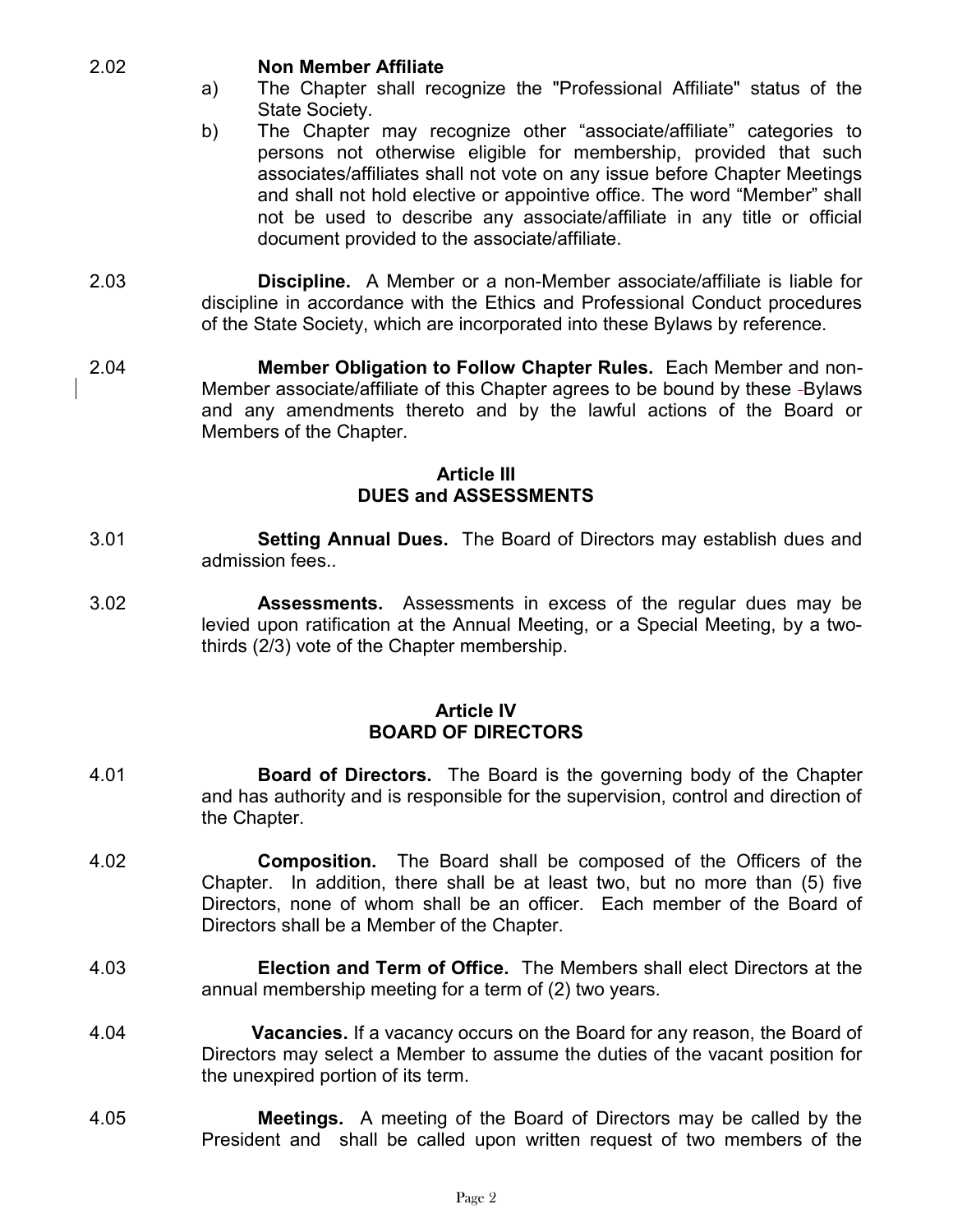#### 2.02 Non Member Affiliate

- a) The Chapter shall recognize the "Professional Affiliate" status of the State Society.
- b) The Chapter may recognize other "associate/affiliate" categories to persons not otherwise eligible for membership, provided that such associates/affiliates shall not vote on any issue before Chapter Meetings and shall not hold elective or appointive office. The word "Member" shall not be used to describe any associate/affiliate in any title or official document provided to the associate/affiliate.
- 2.03 Discipline. A Member or a non-Member associate/affiliate is liable for discipline in accordance with the Ethics and Professional Conduct procedures of the State Society, which are incorporated into these Bylaws by reference.
- 2.04 Member Obligation to Follow Chapter Rules. Each Member and non-Member associate/affiliate of this Chapter agrees to be bound by these -Bylaws and any amendments thereto and by the lawful actions of the Board or Members of the Chapter.

## Article III DUES and ASSESSMENTS

- 3.01 Setting Annual Dues. The Board of Directors may establish dues and admission fees..
- 3.02 Assessments. Assessments in excess of the regular dues may be levied upon ratification at the Annual Meeting, or a Special Meeting, by a twothirds (2/3) vote of the Chapter membership.

### Article IV BOARD OF DIRECTORS

- 4.01 **Board of Directors.** The Board is the governing body of the Chapter and has authority and is responsible for the supervision, control and direction of the Chapter.
- 4.02 Composition. The Board shall be composed of the Officers of the Chapter. In addition, there shall be at least two, but no more than (5) five Directors, none of whom shall be an officer. Each member of the Board of Directors shall be a Member of the Chapter.
- 4.03 Election and Term of Office. The Members shall elect Directors at the annual membership meeting for a term of (2) two years.
- 4.04 Vacancies. If a vacancy occurs on the Board for any reason, the Board of Directors may select a Member to assume the duties of the vacant position for the unexpired portion of its term.
- 4.05 Meetings. A meeting of the Board of Directors may be called by the President and shall be called upon written request of two members of the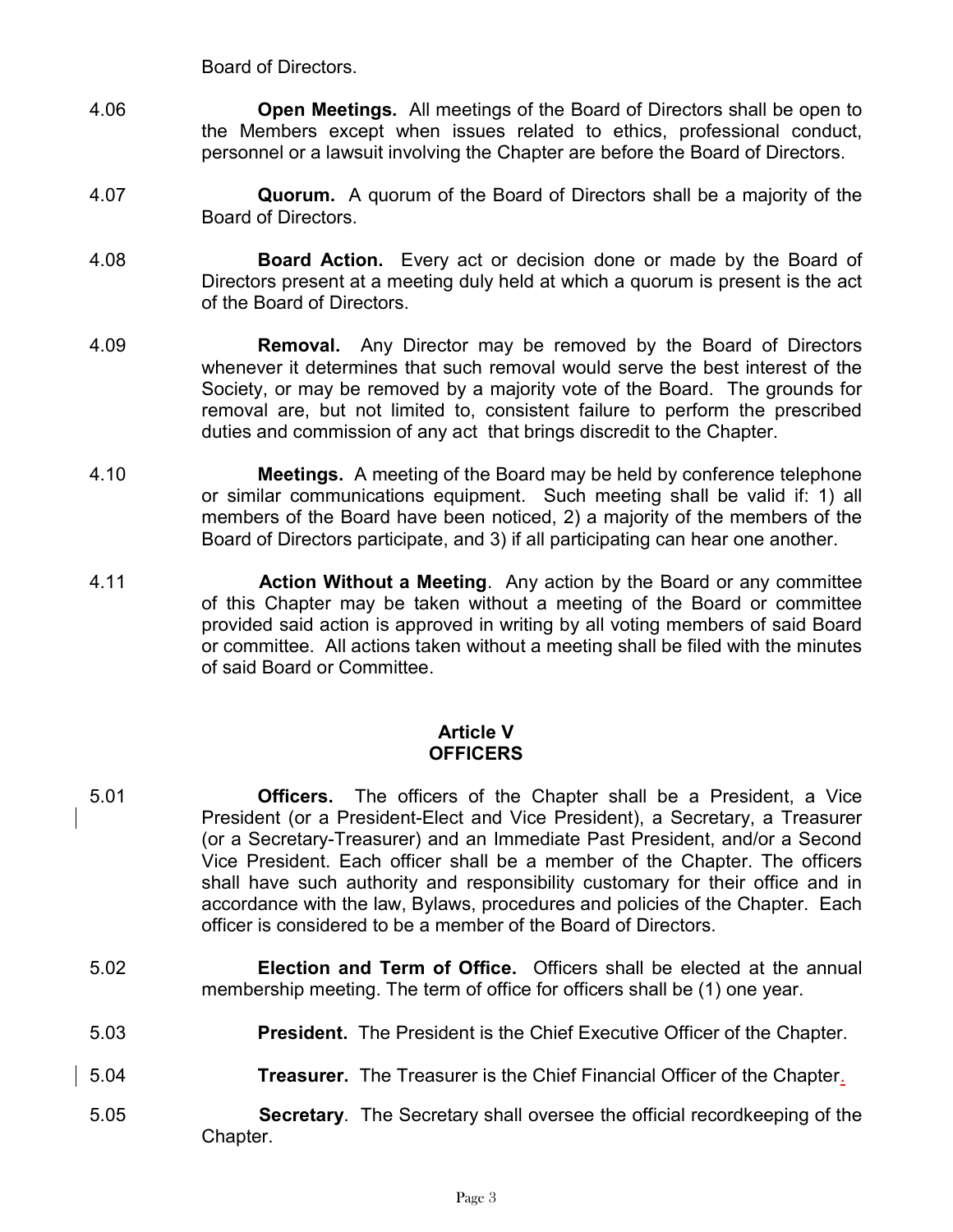Board of Directors.

- 4.06 **Open Meetings.** All meetings of the Board of Directors shall be open to the Members except when issues related to ethics, professional conduct, personnel or a lawsuit involving the Chapter are before the Board of Directors.
- 4.07 **Quorum.** A quorum of the Board of Directors shall be a majority of the Board of Directors.
- 4.08 **Board Action.** Every act or decision done or made by the Board of Directors present at a meeting duly held at which a quorum is present is the act of the Board of Directors.
- 4.09 **Removal.** Any Director may be removed by the Board of Directors whenever it determines that such removal would serve the best interest of the Society, or may be removed by a majority vote of the Board. The grounds for removal are, but not limited to, consistent failure to perform the prescribed duties and commission of any act that brings discredit to the Chapter.
- 4.10 Meetings. A meeting of the Board may be held by conference telephone or similar communications equipment. Such meeting shall be valid if: 1) all members of the Board have been noticed, 2) a majority of the members of the Board of Directors participate, and 3) if all participating can hear one another.
- 4.11 **Action Without a Meeting.** Any action by the Board or any committee of this Chapter may be taken without a meeting of the Board or committee provided said action is approved in writing by all voting members of said Board or committee. All actions taken without a meeting shall be filed with the minutes of said Board or Committee.

#### Article V **OFFICERS**

- 5.01 Officers. The officers of the Chapter shall be a President, a Vice President (or a President-Elect and Vice President), a Secretary, a Treasurer (or a Secretary-Treasurer) and an Immediate Past President, and/or a Second Vice President. Each officer shall be a member of the Chapter. The officers shall have such authority and responsibility customary for their office and in accordance with the law, Bylaws, procedures and policies of the Chapter. Each officer is considered to be a member of the Board of Directors.
- 5.02 Election and Term of Office. Officers shall be elected at the annual membership meeting. The term of office for officers shall be (1) one year.
- 5.03 **President.** The President is the Chief Executive Officer of the Chapter.
- 5.04 **Treasurer.** The Treasurer is the Chief Financial Officer of the Chapter.
- 5.05 Secretary. The Secretary shall oversee the official recordkeeping of the Chapter.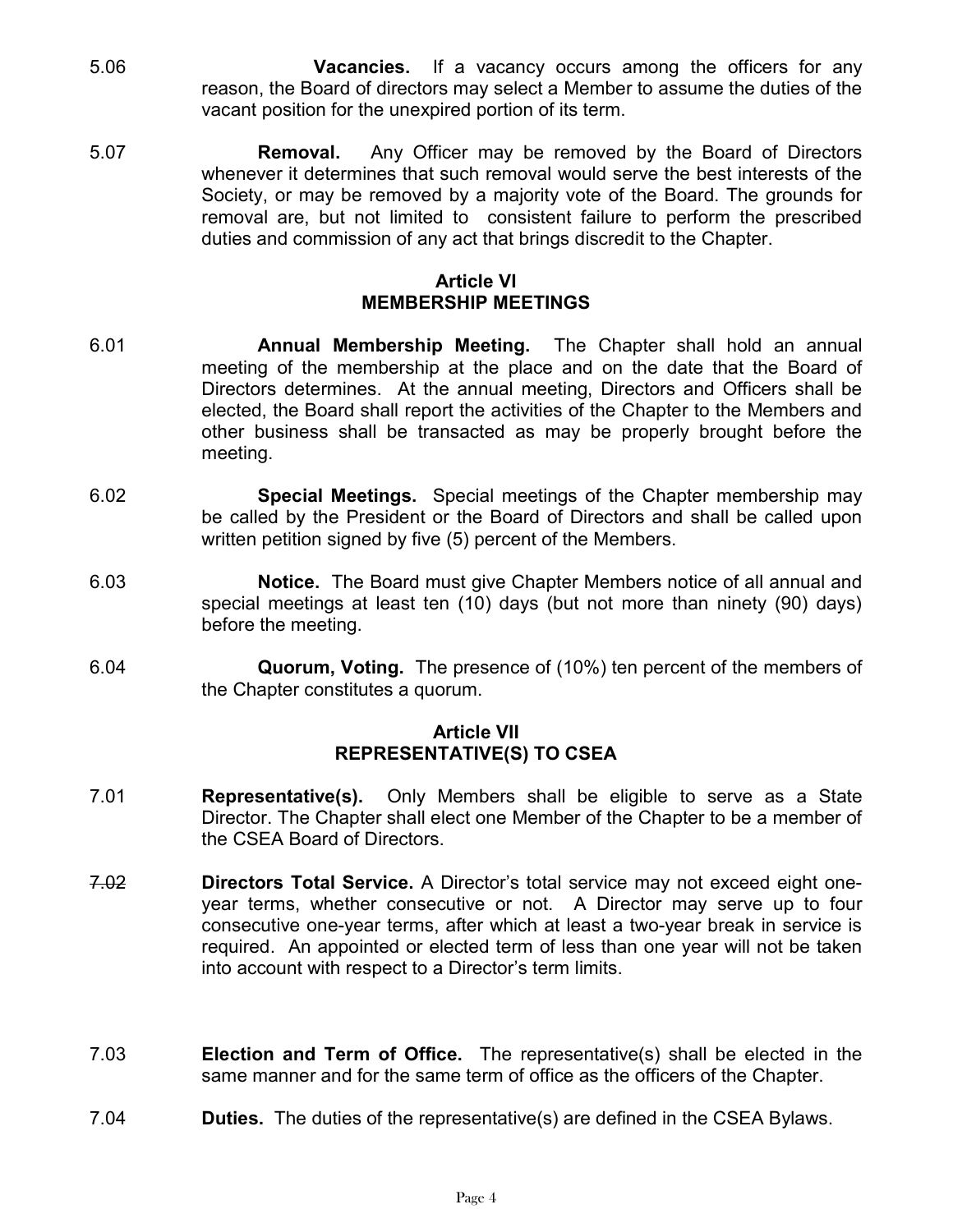- 5.06 **Vacancies.** If a vacancy occurs among the officers for any reason, the Board of directors may select a Member to assume the duties of the vacant position for the unexpired portion of its term.
- 5.07 Removal. Any Officer may be removed by the Board of Directors whenever it determines that such removal would serve the best interests of the Society, or may be removed by a majority vote of the Board. The grounds for removal are, but not limited to consistent failure to perform the prescribed duties and commission of any act that brings discredit to the Chapter.

### Article VI MEMBERSHIP MEETINGS

- 6.01 **Annual Membership Meeting.** The Chapter shall hold an annual meeting of the membership at the place and on the date that the Board of Directors determines. At the annual meeting, Directors and Officers shall be elected, the Board shall report the activities of the Chapter to the Members and other business shall be transacted as may be properly brought before the meeting.
- 6.02 Special Meetings. Special meetings of the Chapter membership may be called by the President or the Board of Directors and shall be called upon written petition signed by five (5) percent of the Members.
- 6.03 Notice. The Board must give Chapter Members notice of all annual and special meetings at least ten (10) days (but not more than ninety (90) days) before the meeting.
- 6.04 Quorum, Voting. The presence of (10%) ten percent of the members of the Chapter constitutes a quorum.

#### Article VII REPRESENTATIVE(S) TO CSEA

- 7.01 Representative(s). Only Members shall be eligible to serve as a State Director. The Chapter shall elect one Member of the Chapter to be a member of the CSEA Board of Directors.
- 7.02 **Directors Total Service.** A Director's total service may not exceed eight oneyear terms, whether consecutive or not. A Director may serve up to four consecutive one-year terms, after which at least a two-year break in service is required. An appointed or elected term of less than one year will not be taken into account with respect to a Director's term limits.
- 7.03 Election and Term of Office. The representative(s) shall be elected in the same manner and for the same term of office as the officers of the Chapter.
- 7.04 **Duties.** The duties of the representative(s) are defined in the CSEA Bylaws.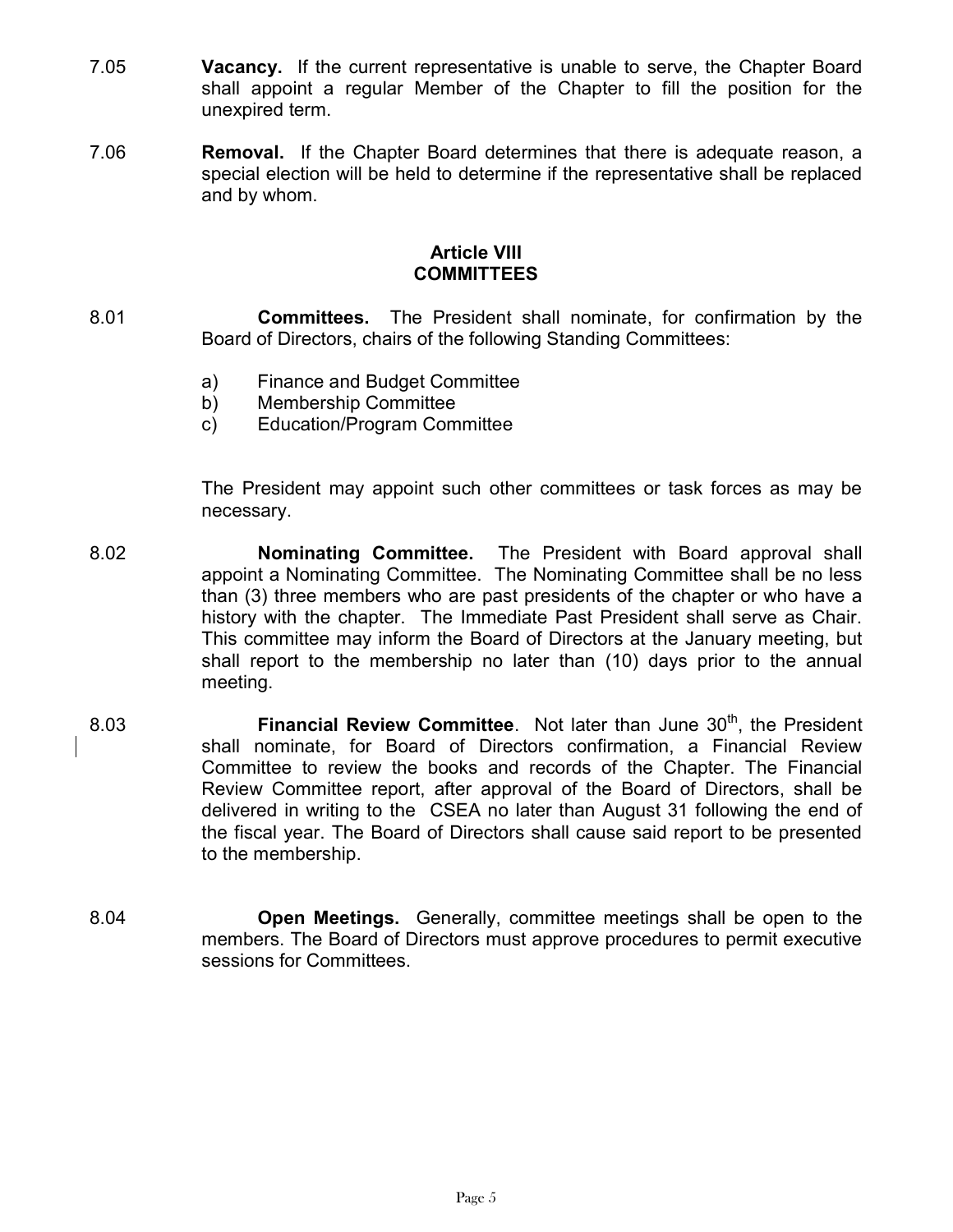- 7.05 **Vacancy.** If the current representative is unable to serve, the Chapter Board shall appoint a regular Member of the Chapter to fill the position for the unexpired term.
- 7.06 **Removal.** If the Chapter Board determines that there is adequate reason, a special election will be held to determine if the representative shall be replaced and by whom.

### Article VIII **COMMITTEES**

- 8.01 Committees. The President shall nominate, for confirmation by the Board of Directors, chairs of the following Standing Committees:
	- a) Finance and Budget Committee
	- b) Membership Committee
	- c) Education/Program Committee

The President may appoint such other committees or task forces as may be necessary.

- 8.02 Nominating Committee. The President with Board approval shall appoint a Nominating Committee. The Nominating Committee shall be no less than (3) three members who are past presidents of the chapter or who have a history with the chapter. The Immediate Past President shall serve as Chair. This committee may inform the Board of Directors at the January meeting, but shall report to the membership no later than (10) days prior to the annual meeting.
- 8.03 **Financial Review Committee.** Not later than June  $30<sup>th</sup>$ , the President shall nominate, for Board of Directors confirmation, a Financial Review Committee to review the books and records of the Chapter. The Financial Review Committee report, after approval of the Board of Directors, shall be delivered in writing to the CSEA no later than August 31 following the end of the fiscal year. The Board of Directors shall cause said report to be presented to the membership.
- 8.04 Open Meetings. Generally, committee meetings shall be open to the members. The Board of Directors must approve procedures to permit executive sessions for Committees